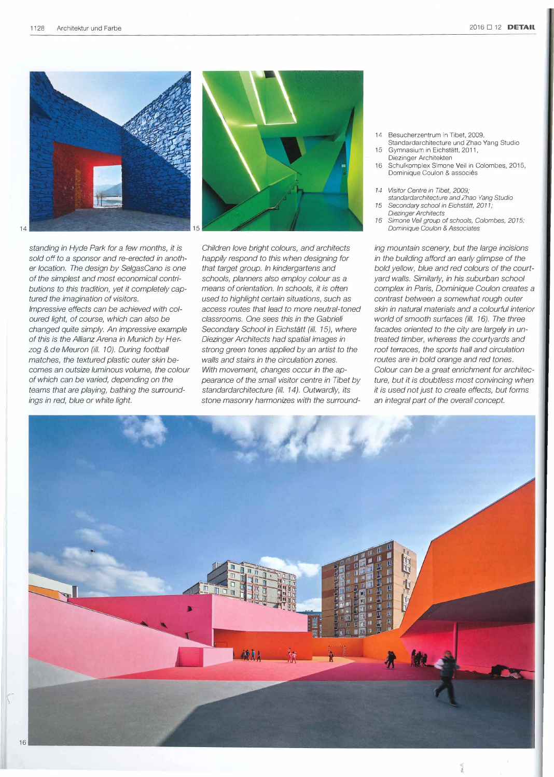



*standing in Hyde Park for a few months, it* is sold off to a sponsor and re-erected in anoth*er location. The design by Se/gasCano* is *one of the simplest and most economical contri*butions to this tradition, yet it completely cap*tured the imagination of visitors. !mpressive effects can be achieved with co/ oured light, of course, which can a/sa be changed quite simply. An impressive example of this* is *the Al!ianz Arena in Munich by Herzog* & *de Meuron (il/. 10). Ouring football matches, the textured plastic outer skin becames an outsize luminous volume, the co/our of which can be varied, depending on the teams that are playing, bathing the surroundings in red, b/ue or white light.*

*Children love bright co!ours, and architects happi/y respond ta this when designing for that target group. ln kindergartens and schoo/s, p!anners a/sa emp/oy co/our as a means of orientation. ln schools, it is often used ta highlight certain situations, such as access routes that lead ta more neutral-toned c/assrooms. One* sees *this in the Gabrieli Secondary School in Eichstatt (il/. 15), where Diezinger Architects had spatial images in strong green tones app!ied by an artist ta the wal/s and stairs in the circulation zones. With movement, changes occur in the ap*pearance of the small visitor centre in Tibet by standardarchitecture (ill. 14). Outwardly, its *stone masonry harmonizes with the surround-*

- 14 Besucherzentrum in Tibet, 2009, Standardarchitecture und Zhao Yang Studio
- 15 Gymnasium in Eichstätt, 2011, Diezinger Architekten
- 16 Schulkomplex Simone Veil in Colombes, 2015, Dominique Coulon & associés
- *14 Visitor Centre in Tibet, 2009;*
- *standardarchitecture and Zhao Yang Studio*  15 *Secondary school in Eichstatt, 2011;*
- *Diezinger Architects 16 Simone Veil group of schools, Colombes, 2015; Dominique Coulon & Associates*

*ing mountain scenery, but the large incisions in the building afford an early glimpse of the*  bold yellow, blue and red colours of the court*yard wal/s. Similarly, in his suburban school camp/ex in Paris, Dominique Coulon creates a contrast between a somewhat rough outer skin in natural materials and a co!ourful interior world of smooth surfaces (il!. 16). The three facades oriented to the city are large/y in untreated timber, whereas the courtyards and roof terraces, the sports hall and circulation routes are in bold orange and red tones. Co/our can be a great enrichment for architec*ture, but it is doubtless most convincing when *it is used not Just to create effects, but forms an integral part of the overa/1 concept.*